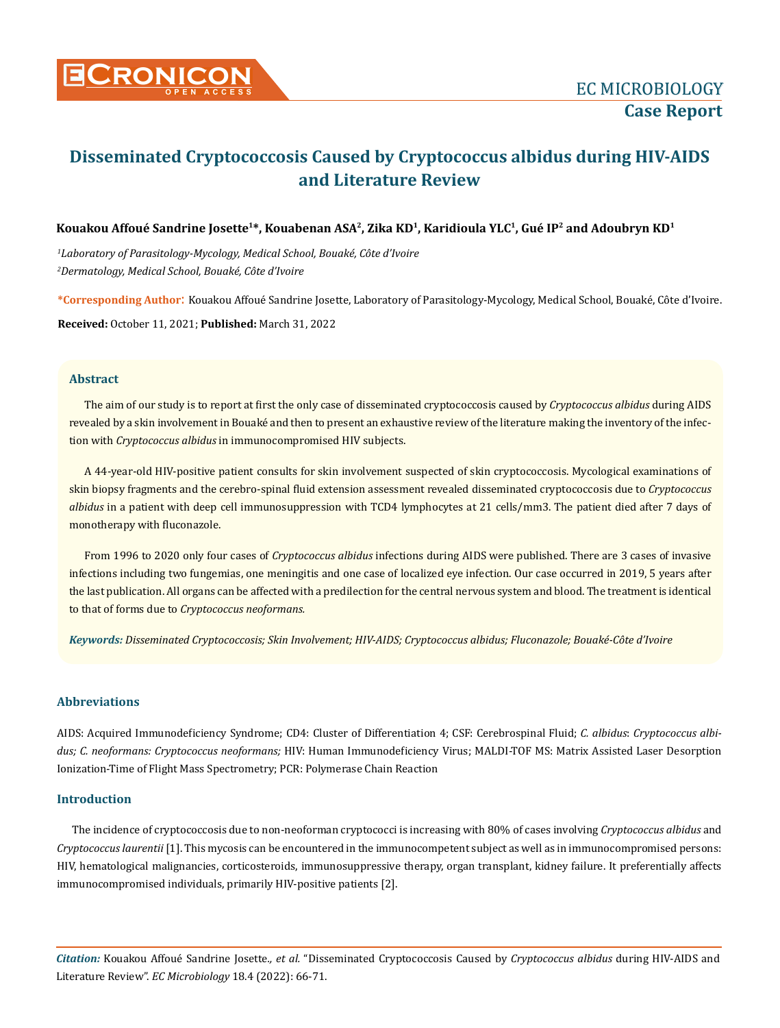

# **Disseminated Cryptococcosis Caused by Cryptococcus albidus during HIV-AIDS and Literature Review**

# **Kouakou Affoué Sandrine Josette1\*, Kouabenan ASA2, Zika KD1, Karidioula YLC1, Gué IP2 and Adoubryn KD1**

*1 Laboratory of Parasitology-Mycology, Medical School, Bouaké, Côte d'Ivoire 2 Dermatology, Medical School, Bouaké, Côte d'Ivoire*

**\*Corresponding Author**: Kouakou Affoué Sandrine Josette, Laboratory of Parasitology-Mycology, Medical School, Bouaké, Côte d'Ivoire. **Received:** October 11, 2021; **Published:** March 31, 2022

## **Abstract**

The aim of our study is to report at first the only case of disseminated cryptococcosis caused by *Cryptococcus albidus* during AIDS revealed by a skin involvement in Bouaké and then to present an exhaustive review of the literature making the inventory of the infection with *Cryptococcus albidus* in immunocompromised HIV subjects.

A 44-year-old HIV-positive patient consults for skin involvement suspected of skin cryptococcosis. Mycological examinations of skin biopsy fragments and the cerebro-spinal fluid extension assessment revealed disseminated cryptococcosis due to *Cryptococcus albidus* in a patient with deep cell immunosuppression with TCD4 lymphocytes at 21 cells/mm3. The patient died after 7 days of monotherapy with fluconazole.

From 1996 to 2020 only four cases of *Cryptococcus albidus* infections during AIDS were published. There are 3 cases of invasive infections including two fungemias, one meningitis and one case of localized eye infection. Our case occurred in 2019, 5 years after the last publication. All organs can be affected with a predilection for the central nervous system and blood. The treatment is identical to that of forms due to *Cryptococcus neoformans.*

*Keywords: Disseminated Cryptococcosis; Skin Involvement; HIV-AIDS; Cryptococcus albidus; Fluconazole; Bouaké-Côte d'Ivoire*

## **Abbreviations**

AIDS: Acquired Immunodeficiency Syndrome; CD4: Cluster of Differentiation 4; CSF: Cerebrospinal Fluid; *C. albidus*: *Cryptococcus albidus; C. neoformans: Cryptococcus neoformans;* HIV: Human Immunodeficiency Virus; MALDI-TOF MS: Matrix Assisted Laser Desorption Ionization-Time of Flight Mass Spectrometry; PCR: Polymerase Chain Reaction

### **Introduction**

The incidence of cryptococcosis due to non-neoforman cryptococci is increasing with 80% of cases involving *Cryptococcus albidus* and *Cryptococcus laurentii* [1]. This mycosis can be encountered in the immunocompetent subject as well as in immunocompromised persons: HIV, hematological malignancies, corticosteroids, immunosuppressive therapy, organ transplant, kidney failure. It preferentially affects immunocompromised individuals, primarily HIV-positive patients [2].

*Citation:* Kouakou Affoué Sandrine Josette*., et al.* "Disseminated Cryptococcosis Caused by *Cryptococcus albidus* during HIV-AIDS and Literature Review". *EC Microbiology* 18.4 (2022): 66-71.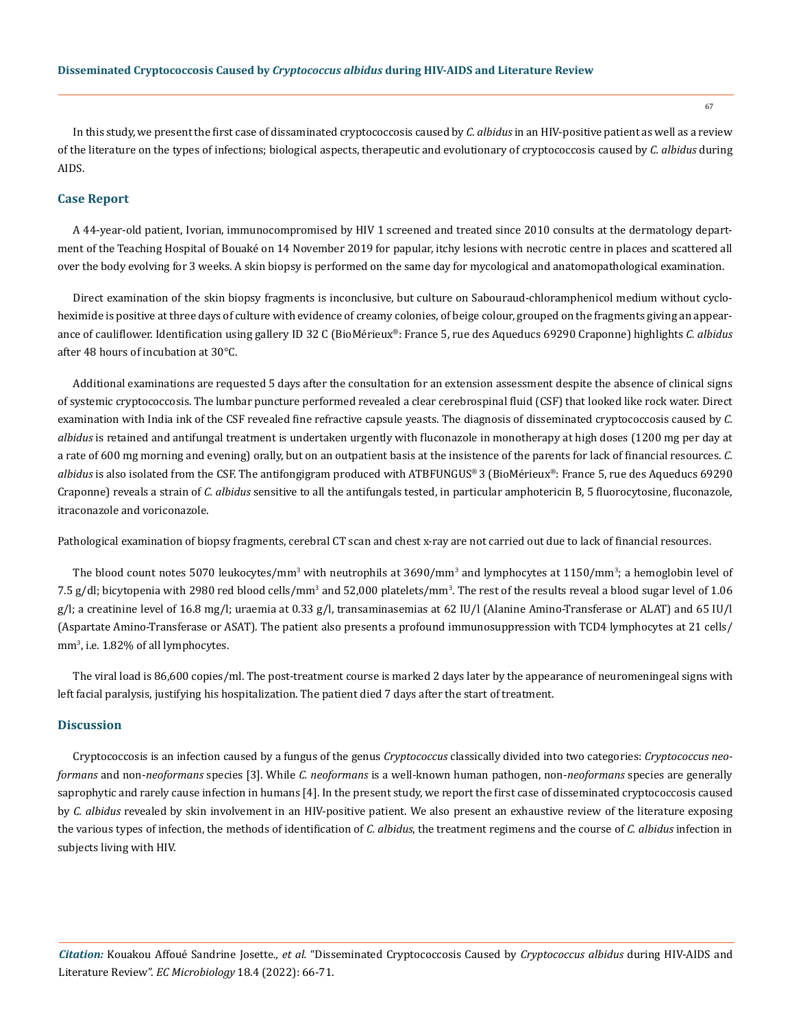In this study, we present the first case of dissaminated cryptococcosis caused by *C. albidus* in an HIV-positive patient as well as a review of the literature on the types of infections; biological aspects, therapeutic and evolutionary of cryptococcosis caused by *C. albidus* during AIDS.

#### **Case Report**

A 44-year-old patient, Ivorian, immunocompromised by HIV 1 screened and treated since 2010 consults at the dermatology department of the Teaching Hospital of Bouaké on 14 November 2019 for papular, itchy lesions with necrotic centre in places and scattered all over the body evolving for 3 weeks. A skin biopsy is performed on the same day for mycological and anatomopathological examination.

Direct examination of the skin biopsy fragments is inconclusive, but culture on Sabouraud-chloramphenicol medium without cycloheximide is positive at three days of culture with evidence of creamy colonies, of beige colour, grouped on the fragments giving an appearance of cauliflower. Identification using gallery ID 32 C (BioMérieux®: France 5, rue des Aqueducs 69290 Craponne) highlights *C. albidus* after 48 hours of incubation at 30°C.

Additional examinations are requested 5 days after the consultation for an extension assessment despite the absence of clinical signs of systemic cryptococcosis. The lumbar puncture performed revealed a clear cerebrospinal fluid (CSF) that looked like rock water. Direct examination with India ink of the CSF revealed fine refractive capsule yeasts. The diagnosis of disseminated cryptococcosis caused by *C. albidus* is retained and antifungal treatment is undertaken urgently with fluconazole in monotherapy at high doses (1200 mg per day at a rate of 600 mg morning and evening) orally, but on an outpatient basis at the insistence of the parents for lack of financial resources. *C. albidus* is also isolated from the CSF. The antifongigram produced with ATBFUNGUS® 3 (BioMérieux®: France 5, rue des Aqueducs 69290 Craponne) reveals a strain of *C. albidus* sensitive to all the antifungals tested, in particular amphotericin B, 5 fluorocytosine, fluconazole, itraconazole and voriconazole.

Pathological examination of biopsy fragments, cerebral CT scan and chest x-ray are not carried out due to lack of financial resources.

The blood count notes 5070 leukocytes/mm<sup>3</sup> with neutrophils at 3690/mm<sup>3</sup> and lymphocytes at 1150/mm<sup>3</sup>; a hemoglobin level of 7.5 g/dl; bicytopenia with 2980 red blood cells/mm<sup>3</sup> and 52,000 platelets/mm<sup>3</sup>. The rest of the results reveal a blood sugar level of 1.06 g/l; a creatinine level of 16.8 mg/l; uraemia at 0.33 g/l, transaminasemias at 62 IU/l (Alanine Amino-Transferase or ALAT) and 65 IU/l (Aspartate Amino-Transferase or ASAT). The patient also presents a profound immunosuppression with TCD4 lymphocytes at 21 cells/ mm<sup>3</sup> , i.e. 1.82% of all lymphocytes.

The viral load is 86,600 copies/ml. The post-treatment course is marked 2 days later by the appearance of neuromeningeal signs with left facial paralysis, justifying his hospitalization. The patient died 7 days after the start of treatment.

#### **Discussion**

Cryptococcosis is an infection caused by a fungus of the genus *Cryptococcus* classically divided into two categories: *Cryptococcus neoformans* and non-*neoformans* species [3]. While *C. neoformans* is a well-known human pathogen, non-*neoformans* species are generally saprophytic and rarely cause infection in humans [4]. In the present study, we report the first case of disseminated cryptococcosis caused by *C. albidus* revealed by skin involvement in an HIV-positive patient. We also present an exhaustive review of the literature exposing the various types of infection, the methods of identification of *C. albidus*, the treatment regimens and the course of *C. albidus* infection in subjects living with HIV.

*Citation:* Kouakou Affoué Sandrine Josette*., et al.* "Disseminated Cryptococcosis Caused by *Cryptococcus albidus* during HIV-AIDS and Literature Review". *EC Microbiology* 18.4 (2022): 66-71.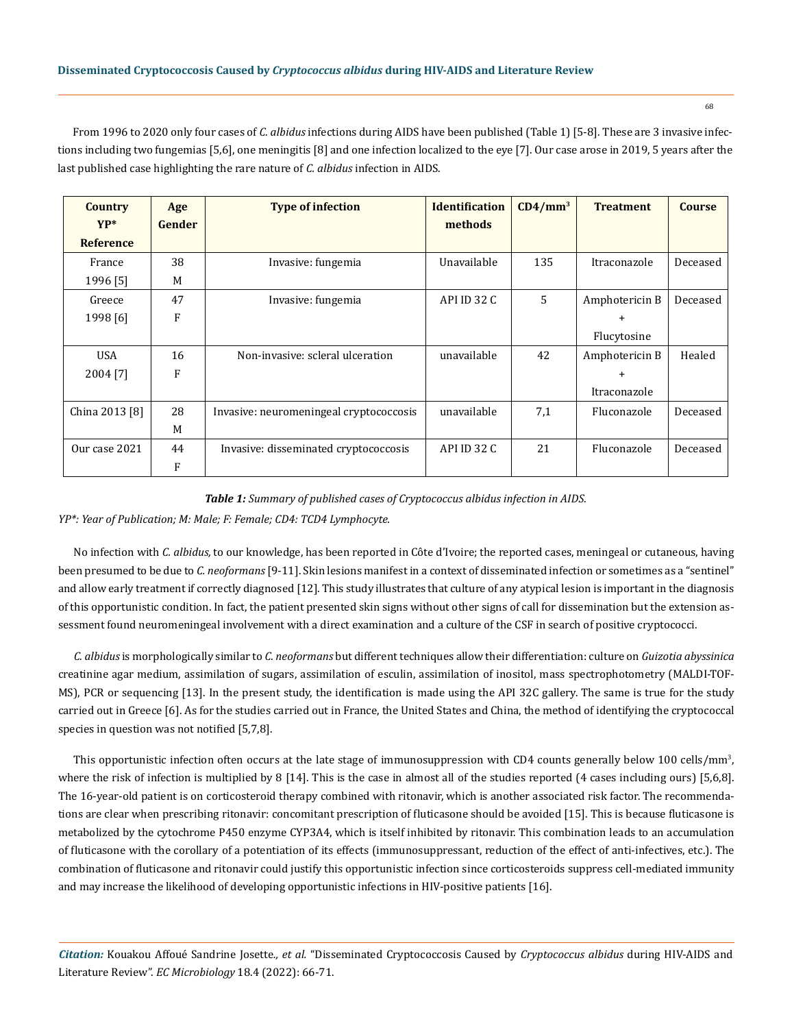From 1996 to 2020 only four cases of *C. albidus* infections during AIDS have been published (Table 1) [5-8]. These are 3 invasive infections including two fungemias [5,6], one meningitis [8] and one infection localized to the eye [7]. Our case arose in 2019, 5 years after the last published case highlighting the rare nature of *C. albidus* infection in AIDS.

| <b>Country</b>   | Age    | <b>Type of infection</b>                | <b>Identification</b> | $CD4/mm^3$ | <b>Treatment</b> | <b>Course</b> |
|------------------|--------|-----------------------------------------|-----------------------|------------|------------------|---------------|
| $YP^*$           | Gender |                                         | methods               |            |                  |               |
| <b>Reference</b> |        |                                         |                       |            |                  |               |
| France           | 38     | Invasive: fungemia                      | Unavailable           | 135        | Itraconazole     | Deceased      |
| 1996 [5]         | M      |                                         |                       |            |                  |               |
| Greece           | 47     | Invasive: fungemia                      | API ID 32 C           | 5          | Amphotericin B   | Deceased      |
| 1998 [6]         | F      |                                         |                       |            | $+$              |               |
|                  |        |                                         |                       |            | Flucytosine      |               |
| <b>USA</b>       | 16     | Non-invasive: scleral ulceration        | unavailable           | 42         | Amphotericin B   | Healed        |
| 2004 [7]         | F      |                                         |                       |            | $\div$           |               |
|                  |        |                                         |                       |            | Itraconazole     |               |
| China 2013 [8]   | 28     | Invasive: neuromeningeal cryptococcosis | unavailable           | 7,1        | Fluconazole      | Deceased      |
|                  | M      |                                         |                       |            |                  |               |
| Our case 2021    | 44     | Invasive: disseminated cryptococcosis   | API ID 32 C           | 21         | Fluconazole      | Deceased      |
|                  | F      |                                         |                       |            |                  |               |

#### *Table 1: Summary of published cases of Cryptococcus albidus infection in AIDS.*

*YP\*: Year of Publication; M: Male; F: Female; CD4: TCD4 Lymphocyte.*

No infection with *C. albidus,* to our knowledge, has been reported in Côte d'Ivoire; the reported cases, meningeal or cutaneous, having been presumed to be due to *C. neoformans* [9-11]. Skin lesions manifest in a context of disseminated infection or sometimes as a "sentinel" and allow early treatment if correctly diagnosed [12]. This study illustrates that culture of any atypical lesion is important in the diagnosis of this opportunistic condition. In fact, the patient presented skin signs without other signs of call for dissemination but the extension assessment found neuromeningeal involvement with a direct examination and a culture of the CSF in search of positive cryptococci.

*C. albidus* is morphologically similar to *C. neoformans* but different techniques allow their differentiation: culture on *Guizotia abyssinica* creatinine agar medium, assimilation of sugars, assimilation of esculin, assimilation of inositol, mass spectrophotometry (MALDI-TOF-MS), PCR or sequencing [13]. In the present study, the identification is made using the API 32C gallery. The same is true for the study carried out in Greece [6]. As for the studies carried out in France, the United States and China, the method of identifying the cryptococcal species in question was not notified [5,7,8].

This opportunistic infection often occurs at the late stage of immunosuppression with CD4 counts generally below 100 cells/mm<sup>3</sup>, where the risk of infection is multiplied by 8 [14]. This is the case in almost all of the studies reported (4 cases including ours) [5,6,8]. The 16-year-old patient is on corticosteroid therapy combined with ritonavir, which is another associated risk factor. The recommendations are clear when prescribing ritonavir: concomitant prescription of fluticasone should be avoided [15]. This is because fluticasone is metabolized by the cytochrome P450 enzyme CYP3A4, which is itself inhibited by ritonavir. This combination leads to an accumulation of fluticasone with the corollary of a potentiation of its effects (immunosuppressant, reduction of the effect of anti-infectives, etc.). The combination of fluticasone and ritonavir could justify this opportunistic infection since corticosteroids suppress cell-mediated immunity and may increase the likelihood of developing opportunistic infections in HIV-positive patients [16].

*Citation:* Kouakou Affoué Sandrine Josette*., et al.* "Disseminated Cryptococcosis Caused by *Cryptococcus albidus* during HIV-AIDS and Literature Review". *EC Microbiology* 18.4 (2022): 66-71.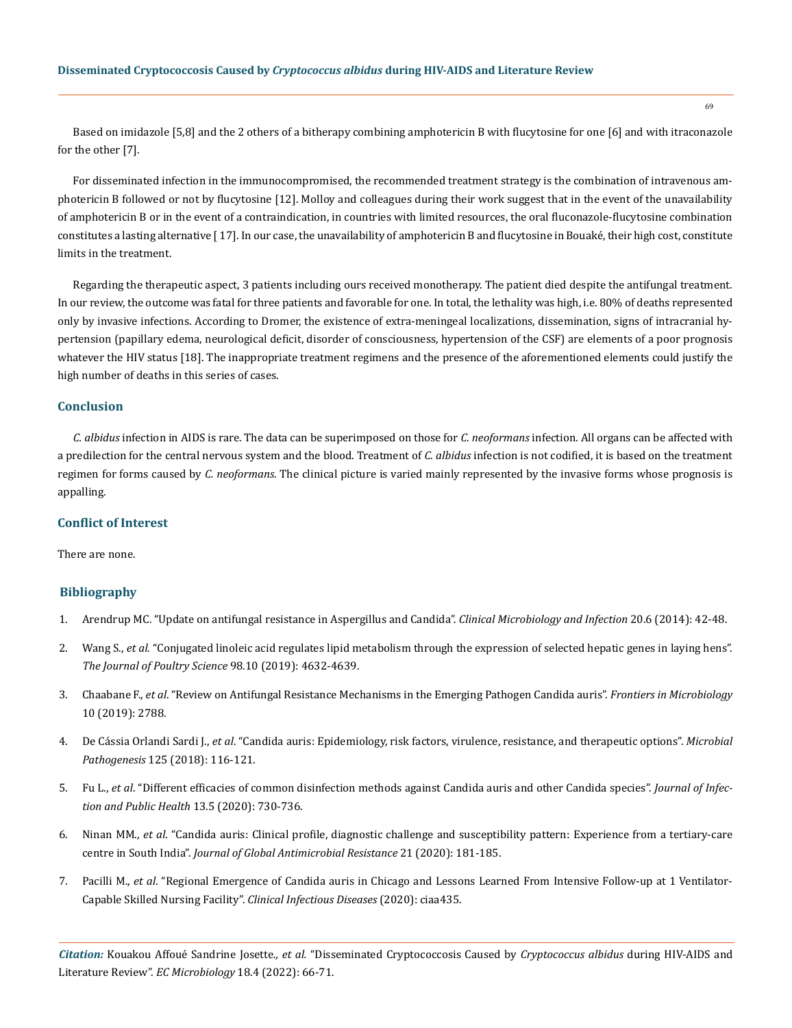Based on imidazole [5,8] and the 2 others of a bitherapy combining amphotericin B with flucytosine for one [6] and with itraconazole for the other [7].

For disseminated infection in the immunocompromised, the recommended treatment strategy is the combination of intravenous amphotericin B followed or not by flucytosine [12]. Molloy and colleagues during their work suggest that in the event of the unavailability of amphotericin B or in the event of a contraindication, in countries with limited resources, the oral fluconazole-flucytosine combination constitutes a lasting alternative [ 17]. In our case, the unavailability of amphotericin B and flucytosine in Bouaké, their high cost, constitute limits in the treatment.

Regarding the therapeutic aspect, 3 patients including ours received monotherapy. The patient died despite the antifungal treatment. In our review, the outcome was fatal for three patients and favorable for one. In total, the lethality was high, i.e. 80% of deaths represented only by invasive infections. According to Dromer, the existence of extra-meningeal localizations, dissemination, signs of intracranial hypertension (papillary edema, neurological deficit, disorder of consciousness, hypertension of the CSF) are elements of a poor prognosis whatever the HIV status [18]. The inappropriate treatment regimens and the presence of the aforementioned elements could justify the high number of deaths in this series of cases.

#### **Conclusion**

*C. albidus* infection in AIDS is rare. The data can be superimposed on those for *C. neoformans* infection. All organs can be affected with a predilection for the central nervous system and the blood. Treatment of *C. albidus* infection is not codified, it is based on the treatment regimen for forms caused by *C. neoformans*. The clinical picture is varied mainly represented by the invasive forms whose prognosis is appalling.

## **Conflict of Interest**

There are none.

#### **Bibliography**

- 1. [Arendrup MC. "Update on antifungal resistance in Aspergillus and Candida".](https://pubmed.ncbi.nlm.nih.gov/24372701/) *Clinical Microbiology and Infection* 20.6 (2014): 42-48.
- 2. Wang S., *et al*[. "Conjugated linoleic acid regulates lipid metabolism through the expression of selected hepatic genes in laying hens".](https://www.sciencedirect.com/science/article/pii/S0032579119479832) *[The Journal of Poultry Science](https://www.sciencedirect.com/science/article/pii/S0032579119479832)* 98.10 (2019): 4632-4639.
- 3. Chaabane F., *et al*[. "Review on Antifungal Resistance Mechanisms in the Emerging Pathogen Candida auris".](https://www.ncbi.nlm.nih.gov/pmc/articles/PMC6896226/) *Frontiers in Microbiology* [10 \(2019\): 2788.](https://www.ncbi.nlm.nih.gov/pmc/articles/PMC6896226/)
- 4. De Cássia Orlandi Sardi J., *et al*[. "Candida auris: Epidemiology, risk factors, virulence, resistance, and therapeutic options".](https://pubmed.ncbi.nlm.nih.gov/30205192/) *Microbial Pathogenesis* [125 \(2018\): 116-121.](https://pubmed.ncbi.nlm.nih.gov/30205192/)
- 5. Fu L., *et al*[. "Different efficacies of common disinfection methods against Candida auris and other Candida species".](https://www.sciencedirect.com/science/article/pii/S1876034120300095) *Journal of Infec[tion and Public Health](https://www.sciencedirect.com/science/article/pii/S1876034120300095)* 13.5 (2020): 730-736.
- 6. Ninan MM., *et al*[. "Candida auris: Clinical profile, diagnostic challenge and susceptibility pattern: Experience from a tertiary-care](https://pubmed.ncbi.nlm.nih.gov/31655136/) centre in South India". *[Journal of Global Antimicrobial Resistance](https://pubmed.ncbi.nlm.nih.gov/31655136/)* 21 (2020): 181-185.
- 7. Pacilli M., *et al*[. "Regional Emergence of Candida auris in Chicago and Lessons Learned From Intensive Follow-up at 1 Ventilator-](https://pubmed.ncbi.nlm.nih.gov/32291441/)[Capable Skilled Nursing Facility".](https://pubmed.ncbi.nlm.nih.gov/32291441/) *Clinical Infectious Diseases* (2020): ciaa435.

*Citation:* Kouakou Affoué Sandrine Josette*., et al.* "Disseminated Cryptococcosis Caused by *Cryptococcus albidus* during HIV-AIDS and Literature Review". *EC Microbiology* 18.4 (2022): 66-71.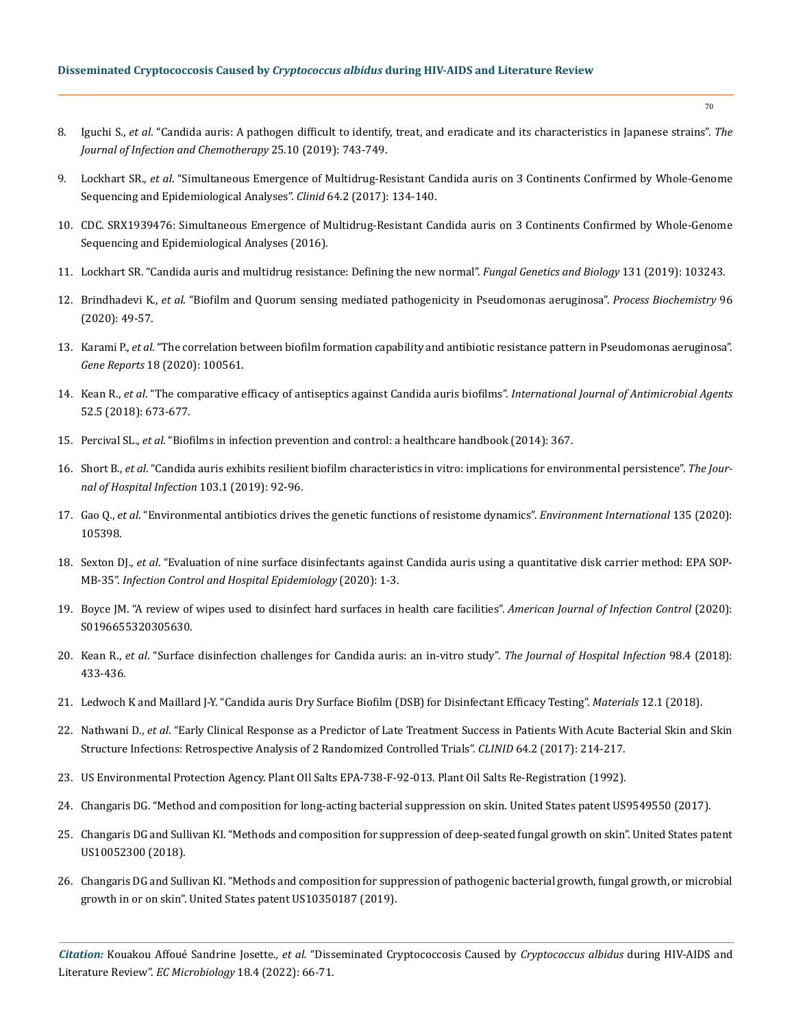- 8. Iguchi S., *et al*[. "Candida auris: A pathogen difficult to identify, treat, and eradicate and its characteristics in Japanese strains".](https://pubmed.ncbi.nlm.nih.gov/31257156/) *The [Journal of Infection and Chemotherapy](https://pubmed.ncbi.nlm.nih.gov/31257156/)* 25.10 (2019): 743-749.
- 9. Lockhart SR., *et al*[. "Simultaneous Emergence of Multidrug-Resistant Candida auris on 3 Continents Confirmed by Whole-Genome](https://academic.oup.com/cid/article/64/2/134/2706620) [Sequencing and Epidemiological Analyses".](https://academic.oup.com/cid/article/64/2/134/2706620) *Clinid* 64.2 (2017): 134-140.
- 10. [CDC. SRX1939476: Simultaneous Emergence of Multidrug-Resistant Candida auris on 3 Continents Confirmed by Whole-Genome](https://www.ncbi.nlm.nih.gov/pmc/articles/PMC5215215/) [Sequencing and Epidemiological Analyses \(2016\).](https://www.ncbi.nlm.nih.gov/pmc/articles/PMC5215215/)
- 11. [Lockhart SR. "Candida auris and multidrug resistance: Defining the new normal".](https://pubmed.ncbi.nlm.nih.gov/31228646/) *Fungal Genetics and Biology* 131 (2019): 103243.
- 12. Brindhadevi K., *et al*[. "Biofilm and Quorum sensing mediated pathogenicity in Pseudomonas aeruginosa".](https://www.sciencedirect.com/science/article/abs/pii/S1359511319313807) *Process Biochemistry* 96 [\(2020\): 49-57.](https://www.sciencedirect.com/science/article/abs/pii/S1359511319313807)
- 13. Karami P., *et al*[. "The correlation between biofilm formation capability and antibiotic resistance pattern in Pseudomonas aeruginosa".](https://www.sciencedirect.com/science/article/pii/S2452014419302031) *Gene Reports* [18 \(2020\): 100561.](https://www.sciencedirect.com/science/article/pii/S2452014419302031)
- 14. Kean R., *et al*[. "The comparative efficacy of antiseptics against Candida auris biofilms".](https://pubmed.ncbi.nlm.nih.gov/29775686/) *International Journal of Antimicrobial Agents* [52.5 \(2018\): 673-677.](https://pubmed.ncbi.nlm.nih.gov/29775686/)
- 15. Percival SL., *et al*[. "Biofilms in infection prevention and control: a healthcare handbook \(2014\): 367.](https://www.elsevier.com/books/biofilms-in-infection-prevention-and-control/percival/978-0-12-397043-5)
- 16. Short B., *et al*[. "Candida auris exhibits resilient biofilm characteristics in vitro: implications for environmental persistence".](https://pubmed.ncbi.nlm.nih.gov/31226270/) *The Jour[nal of Hospital Infection](https://pubmed.ncbi.nlm.nih.gov/31226270/)* 103.1 (2019): 92-96.
- 17. Gao Q., *et al*[. "Environmental antibiotics drives the genetic functions of resistome dynamics".](https://www.sciencedirect.com/science/article/pii/S0160412019303095) *Environment International* 135 (2020): [105398.](https://www.sciencedirect.com/science/article/pii/S0160412019303095)
- 18. Sexton DJ., *et al*[. "Evaluation of nine surface disinfectants against Candida auris using a quantitative disk carrier method: EPA SOP-](https://pubmed.ncbi.nlm.nih.gov/32600492/)MB-35". *[Infection Control and Hospital Epidemiology](https://pubmed.ncbi.nlm.nih.gov/32600492/)* (2020): 1-3.
- 19. [Boyce JM. "A review of wipes used to disinfect hard surfaces in health care facilities".](https://pubmed.ncbi.nlm.nih.gov/32569612/) *American Journal of Infection Control* (2020): [S0196655320305630.](https://pubmed.ncbi.nlm.nih.gov/32569612/)
- 20. Kean R., *et al*[. "Surface disinfection challenges for Candida auris: an in-vitro study".](https://pubmed.ncbi.nlm.nih.gov/29203448/) *The Journal of Hospital Infection* 98.4 (2018): [433-436.](https://pubmed.ncbi.nlm.nih.gov/29203448/)
- 21. [Ledwoch K and Maillard J-Y. "Candida auris Dry Surface Biofilm \(DSB\) for Disinfectant Efficacy Testing".](https://www.ncbi.nlm.nih.gov/pmc/articles/PMC6337396/) *Materials* 12.1 (2018).
- 22. Nathwani D., *et al*[. "Early Clinical Response as a Predictor of Late Treatment Success in Patients With Acute Bacterial Skin and Skin](https://pubmed.ncbi.nlm.nih.gov/28003218/) [Structure Infections: Retrospective Analysis of 2 Randomized Controlled Trials".](https://pubmed.ncbi.nlm.nih.gov/28003218/) *CLINID* 64.2 (2017): 214-217.
- 23. US Environmental Protection Agency. Plant OIl Salts EPA-738-F-92-013. Plant Oil Salts Re-Registration (1992).
- 24. [Changaris DG. "Method and composition for long-acting bacterial suppression on skin. United States patent US9549550 \(2017\).](https://patents.justia.com/patent/9549550)
- 25. Changaris DG and Sullivan KI. "Methods and composition for suppression of deep-seated fungal growth on skin". United States patent US10052300 (2018).
- 26. Changaris DG and Sullivan KI. "Methods and composition for suppression of pathogenic bacterial growth, fungal growth, or microbial growth in or on skin". United States patent US10350187 (2019).

*Citation:* Kouakou Affoué Sandrine Josette*., et al.* "Disseminated Cryptococcosis Caused by *Cryptococcus albidus* during HIV-AIDS and Literature Review". *EC Microbiology* 18.4 (2022): 66-71.